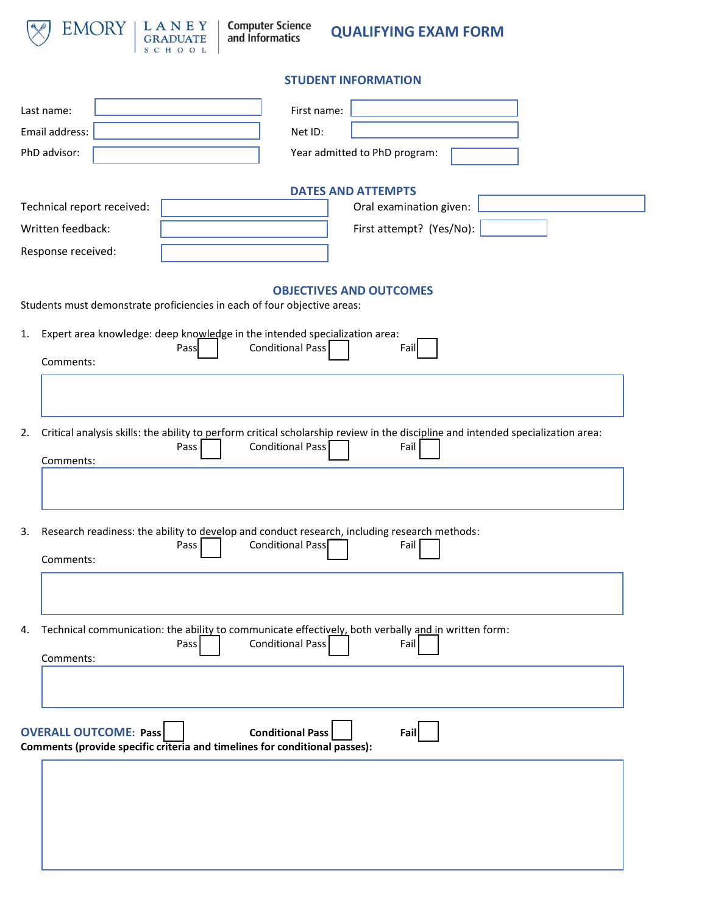

**Computer Science**<br>and Informatics

**QUALIFYING EXAM FORM**

# **STUDENT INFORMATION**

| Last name:                   | First name:                                                                                                                             |
|------------------------------|-----------------------------------------------------------------------------------------------------------------------------------------|
| Email address:               | Net ID:                                                                                                                                 |
| PhD advisor:                 | Year admitted to PhD program:                                                                                                           |
|                              |                                                                                                                                         |
|                              | <b>DATES AND ATTEMPTS</b>                                                                                                               |
| Technical report received:   | Oral examination given:                                                                                                                 |
| Written feedback:            | First attempt? (Yes/No):                                                                                                                |
| Response received:           |                                                                                                                                         |
|                              | <b>OBJECTIVES AND OUTCOMES</b><br>Students must demonstrate proficiencies in each of four objective areas:                              |
| 1.                           | Expert area knowledge: deep knowledge in the intended specialization area:<br><b>Conditional Pass</b><br>Pass<br>Fail                   |
| Comments:                    |                                                                                                                                         |
|                              |                                                                                                                                         |
|                              |                                                                                                                                         |
| 2.                           | Critical analysis skills: the ability to perform critical scholarship review in the discipline and intended specialization area:        |
| Comments:                    | <b>Conditional Pass</b><br>Fail<br>Pass                                                                                                 |
|                              |                                                                                                                                         |
|                              |                                                                                                                                         |
|                              |                                                                                                                                         |
| 3.                           | Research readiness: the ability to develop and conduct research, including research methods:<br><b>Conditional Pass</b><br>Fail<br>Pass |
| Comments:                    |                                                                                                                                         |
|                              |                                                                                                                                         |
|                              |                                                                                                                                         |
| 4.                           | Technical communication: the ability to communicate effectively, both verbally and in written form:                                     |
|                              | <b>Conditional Pass</b><br>Fail<br>Pass                                                                                                 |
| Comments:                    |                                                                                                                                         |
|                              |                                                                                                                                         |
|                              |                                                                                                                                         |
| <b>OVERALL OUTCOME: Pass</b> | <b>Conditional Pass</b><br>Fail<br>Comments (provide specific criteria and timelines for conditional passes):                           |
|                              |                                                                                                                                         |
|                              |                                                                                                                                         |
|                              |                                                                                                                                         |
|                              |                                                                                                                                         |
|                              |                                                                                                                                         |
|                              |                                                                                                                                         |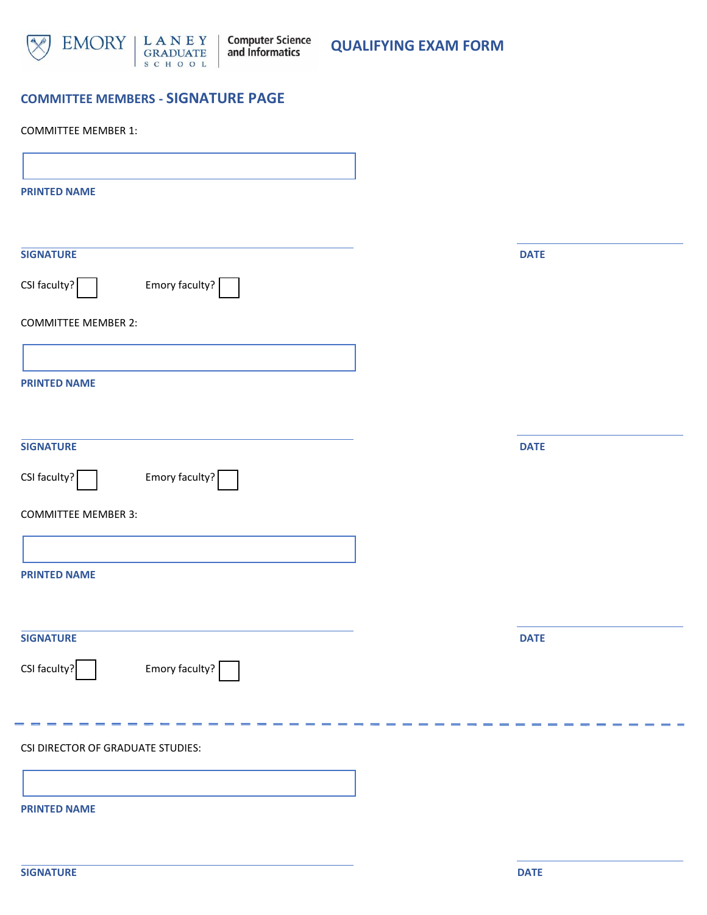

**QUALIFYING EXAM FORM**

# **COMMITTEE MEMBERS - SIGNATURE PAGE**

| <b>COMMITTEE MEMBER 1:</b>                            |             |
|-------------------------------------------------------|-------------|
|                                                       |             |
| <b>PRINTED NAME</b>                                   |             |
|                                                       |             |
| <b>SIGNATURE</b>                                      | <b>DATE</b> |
| Emory faculty?<br>CSI faculty? $\sqrt{\frac{2}{1}}$   |             |
| <b>COMMITTEE MEMBER 2:</b>                            |             |
|                                                       |             |
| <b>PRINTED NAME</b>                                   |             |
|                                                       |             |
| <b>SIGNATURE</b>                                      | <b>DATE</b> |
| Emory faculty? $\sqrt{\phantom{a}}$<br>$CSI$ faculty? |             |
| <b>COMMITTEE MEMBER 3:</b>                            |             |
|                                                       |             |
| <b>PRINTED NAME</b>                                   |             |
|                                                       |             |
| <b>SIGNATURE</b>                                      | <b>DATE</b> |
| CSI faculty?<br>Emory faculty?                        |             |
|                                                       |             |
|                                                       |             |
| <b>CSI DIRECTOR OF GRADUATE STUDIES:</b>              |             |
|                                                       |             |
| <b>PRINTED NAME</b>                                   |             |
|                                                       |             |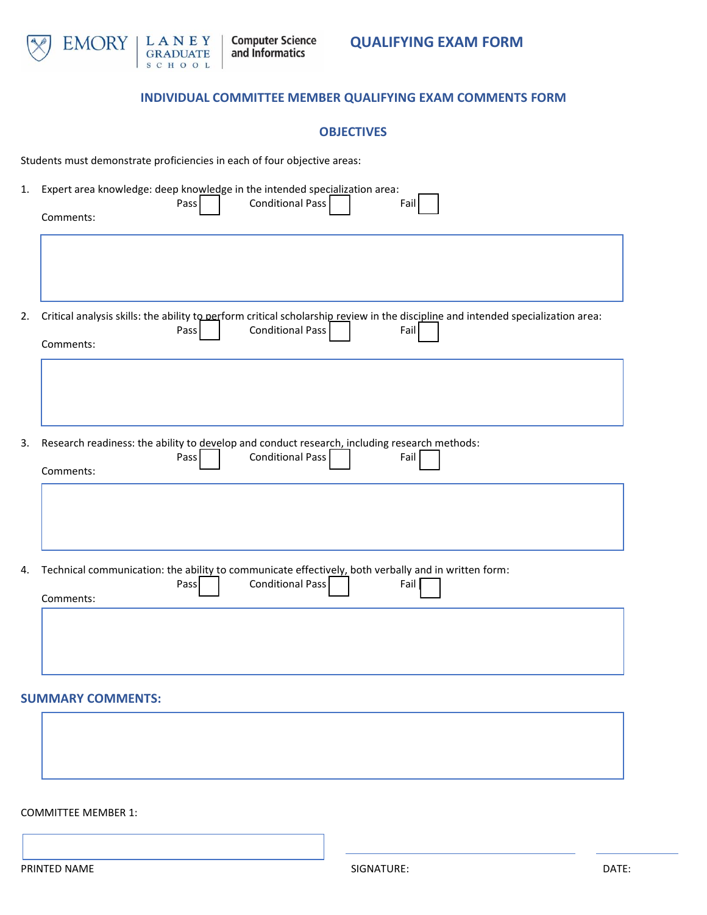

# **INDIVIDUAL COMMITTEE MEMBER QUALIFYING EXAM COMMENTS FORM**

#### **OBJECTIVES**

Students must demonstrate proficiencies in each of four objective areas:

| 1. | Expert area knowledge: deep knowledge in the intended specialization area:<br><b>Conditional Pass</b><br>Pass<br>Fail<br>Comments:                                                |
|----|-----------------------------------------------------------------------------------------------------------------------------------------------------------------------------------|
|    |                                                                                                                                                                                   |
| 2. | Critical analysis skills: the ability to perform critical scholarship review in the discipline and intended specialization area:<br>Conditional Pass<br>Fail<br>Pass<br>Comments: |
|    |                                                                                                                                                                                   |
| 3. | Research readiness: the ability to develop and conduct research, including research methods:<br><b>Conditional Pass</b><br>Pass<br>Fail<br>Comments:                              |
|    |                                                                                                                                                                                   |
| 4. | Technical communication: the ability to communicate effectively, both verbally and in written form:<br><b>Conditional Pass</b><br>Pass<br>Fail<br>Comments:                       |
|    |                                                                                                                                                                                   |
|    | <b>SUMMARY COMMENTS:</b>                                                                                                                                                          |
|    |                                                                                                                                                                                   |

COMMITTEE MEMBER 1: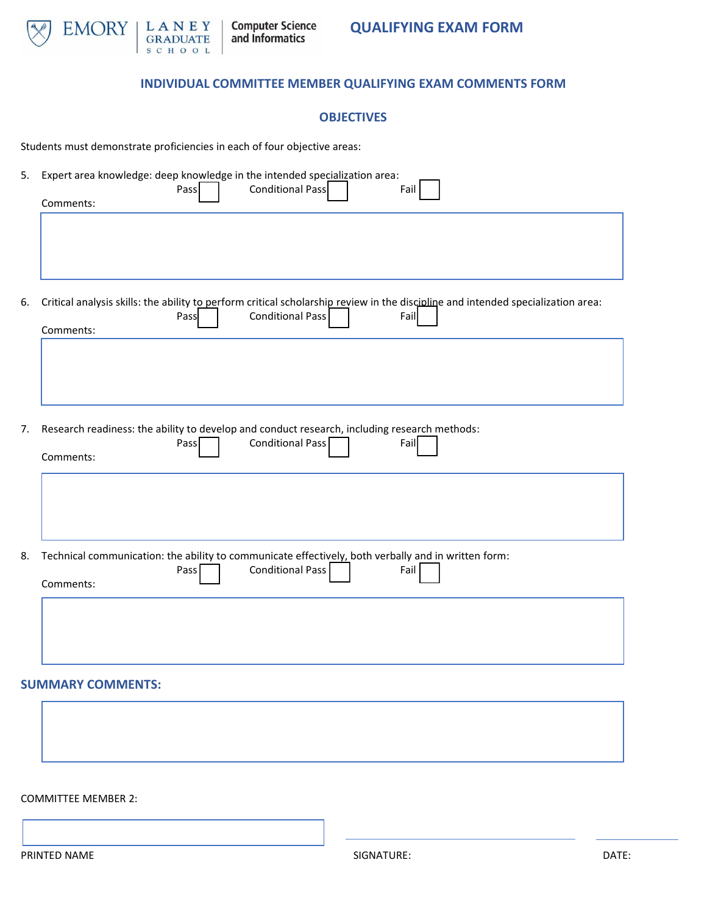

### **INDIVIDUAL COMMITTEE MEMBER QUALIFYING EXAM COMMENTS FORM**

#### **OBJECTIVES**

Students must demonstrate proficiencies in each of four objective areas:

| 5. | Expert area knowledge: deep knowledge in the intended specialization area:<br>Conditional Pass<br>Pass<br>Fail<br>Comments:                                                              |
|----|------------------------------------------------------------------------------------------------------------------------------------------------------------------------------------------|
|    |                                                                                                                                                                                          |
| 6. | Critical analysis skills: the ability to perform critical scholarship review in the discipline and intended specialization area:<br><b>Conditional Pass</b><br>Fail<br>Pass<br>Comments: |
|    |                                                                                                                                                                                          |
| 7. | Research readiness: the ability to develop and conduct research, including research methods:<br>Conditional Pass<br>Pass<br>Fail<br>Comments:                                            |
|    |                                                                                                                                                                                          |
| 8. | Technical communication: the ability to communicate effectively, both verbally and in written form:<br><b>Conditional Pass</b><br>Fail<br>Pass<br>Comments:                              |
|    |                                                                                                                                                                                          |
|    | <b>SUMMARY COMMENTS:</b>                                                                                                                                                                 |

#### COMMITTEE MEMBER 2: